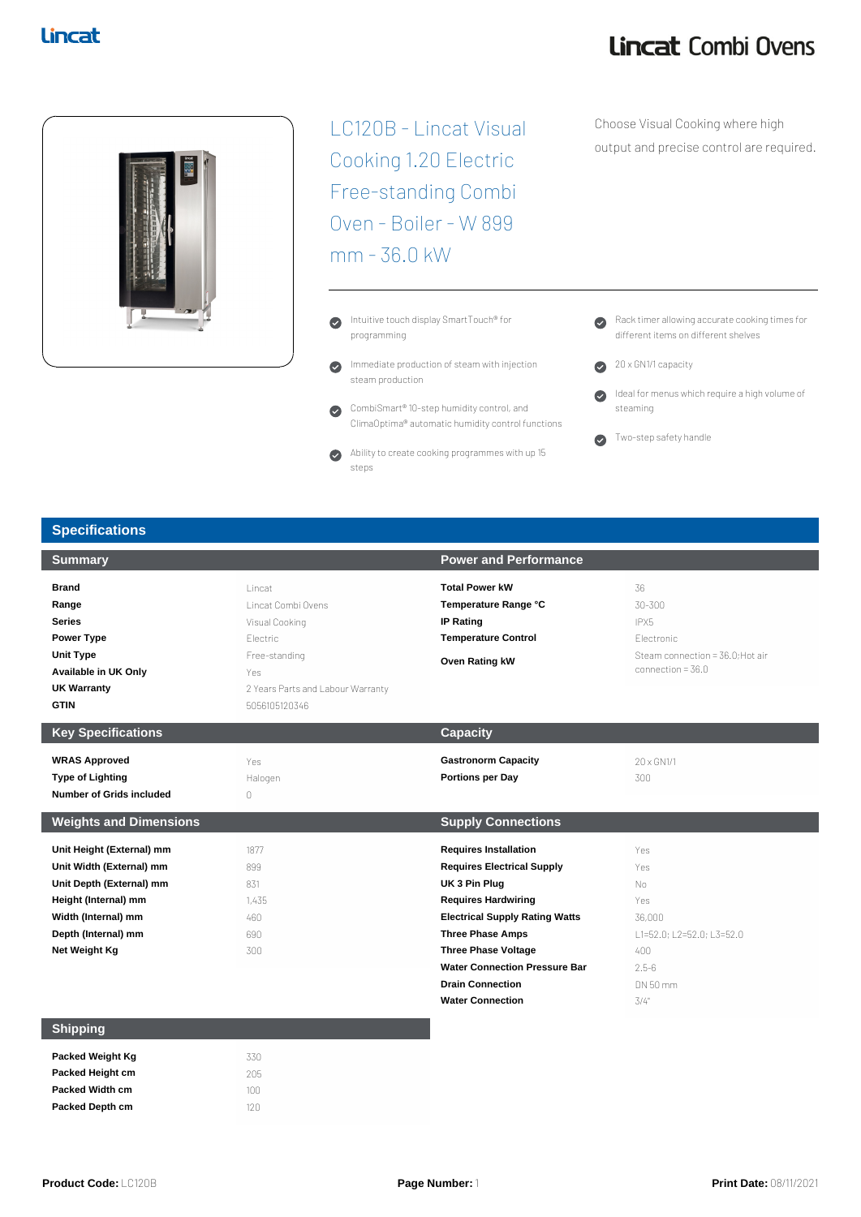## Lincat Combi Ovens



LC120B - Lincat Visual Cooking 1.20 Electric Free-standing Combi Oven - Boiler - W 899 mm - 36.0 kW

- Intuitive touch display SmartTouch® for  $\bullet$ programming
- Immediate production of steam with injection  $\bullet$ steam production
- CombiSmart® 10-step humidity control, and  $\bullet$ ClimaOptima® automatic humidity control functions
- Ability to create cooking programmes with up 15  $\bullet$ steps

Choose Visual Cooking where high output and precise control are required.

- Rack timer allowing accurate cooking times for different items on different shelves
- 20 x GN1/1 capacity
- Ideal for menus which require a high volume of  $\bullet$ steaming

Two-step safety handle

### **Specifications**

|                                                                                                                                          | <b>Power and Performance</b>                                                                                                                                                                                                                               |                                                                                                    |
|------------------------------------------------------------------------------------------------------------------------------------------|------------------------------------------------------------------------------------------------------------------------------------------------------------------------------------------------------------------------------------------------------------|----------------------------------------------------------------------------------------------------|
| Lincat<br>Lincat Combi Ovens<br>Visual Cooking<br>Electric<br>Free-standing<br>Yes<br>2 Years Parts and Labour Warranty<br>5056105120346 | <b>Total Power kW</b><br>Temperature Range °C<br><b>IP Rating</b><br><b>Temperature Control</b><br>Oven Rating kW                                                                                                                                          | 36<br>30-300<br>IPX5<br>Flectronic<br>Steam connection = 36.0: Hot air<br>connection = $36.0$      |
|                                                                                                                                          | <b>Capacity</b>                                                                                                                                                                                                                                            |                                                                                                    |
| Yes<br>Halogen<br>0                                                                                                                      | <b>Gastronorm Capacity</b><br><b>Portions per Day</b>                                                                                                                                                                                                      | 20 x GN1/1<br>300                                                                                  |
|                                                                                                                                          | <b>Supply Connections</b>                                                                                                                                                                                                                                  |                                                                                                    |
| 1877<br>899<br>831<br>1,435<br>460<br>690<br>300                                                                                         | <b>Requires Installation</b><br><b>Requires Electrical Supply</b><br>UK 3 Pin Plug<br><b>Requires Hardwiring</b><br><b>Electrical Supply Rating Watts</b><br><b>Three Phase Amps</b><br><b>Three Phase Voltage</b><br><b>Water Connection Pressure Bar</b> | Yes<br>Yes<br>No<br>Yes<br>36,000<br>L1=52.0; L2=52.0; L3=52.0<br>$400 -$<br>$2.5 - 6$<br>DN 50 mm |
|                                                                                                                                          |                                                                                                                                                                                                                                                            | <b>Drain Connection</b>                                                                            |

### **Shipping**

| Packed Weight Kg        | 330 |
|-------------------------|-----|
| <b>Packed Height cm</b> | 205 |
| <b>Packed Width cm</b>  | 100 |
| <b>Packed Depth cm</b>  | 120 |
|                         |     |

**Water Connection** 3/4"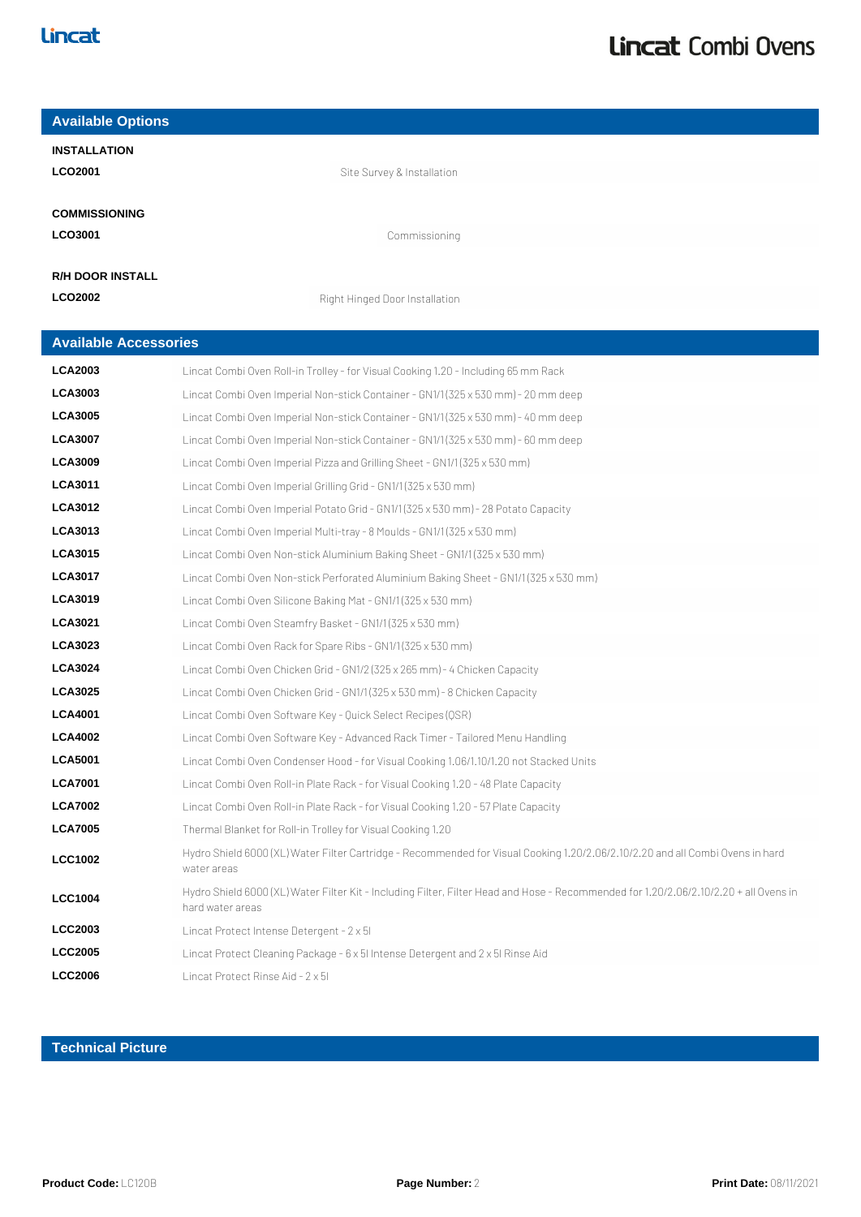| <b>Available Options</b>     |                                                                                                                                                           |
|------------------------------|-----------------------------------------------------------------------------------------------------------------------------------------------------------|
| <b>INSTALLATION</b>          |                                                                                                                                                           |
| <b>LCO2001</b>               | Site Survey & Installation                                                                                                                                |
|                              |                                                                                                                                                           |
| <b>COMMISSIONING</b>         |                                                                                                                                                           |
| LCO3001                      | Commissioning                                                                                                                                             |
| <b>R/H DOOR INSTALL</b>      |                                                                                                                                                           |
| <b>LCO2002</b>               | Right Hinged Door Installation                                                                                                                            |
|                              |                                                                                                                                                           |
| <b>Available Accessories</b> |                                                                                                                                                           |
| <b>LCA2003</b>               | Lincat Combi Oven Roll-in Trolley - for Visual Cooking 1.20 - Including 65 mm Rack                                                                        |
| <b>LCA3003</b>               | Lincat Combi Oven Imperial Non-stick Container - GN1/1 (325 x 530 mm) - 20 mm deep                                                                        |
| <b>LCA3005</b>               | Lincat Combi Oven Imperial Non-stick Container - GN1/1(325 x 530 mm) - 40 mm deep                                                                         |
| <b>LCA3007</b>               | Lincat Combi Oven Imperial Non-stick Container - GN1/1 (325 x 530 mm) - 60 mm deep                                                                        |
| <b>LCA3009</b>               | Lincat Combi Oven Imperial Pizza and Grilling Sheet - GN1/1 (325 x 530 mm)                                                                                |
| <b>LCA3011</b>               | Lincat Combi Oven Imperial Grilling Grid - GN1/1 (325 x 530 mm)                                                                                           |
| <b>LCA3012</b>               | Lincat Combi Oven Imperial Potato Grid - GN1/1 (325 x 530 mm) - 28 Potato Capacity                                                                        |
| <b>LCA3013</b>               | Lincat Combi Oven Imperial Multi-tray - 8 Moulds - GN1/1 (325 x 530 mm)                                                                                   |
| <b>LCA3015</b>               | Lincat Combi Oven Non-stick Aluminium Baking Sheet - GN1/1 (325 x 530 mm)                                                                                 |
| <b>LCA3017</b>               | Lincat Combi Oven Non-stick Perforated Aluminium Baking Sheet - GN1/1 (325 x 530 mm)                                                                      |
| <b>LCA3019</b>               | Lincat Combi Oven Silicone Baking Mat - GN1/1 (325 x 530 mm)                                                                                              |
| <b>LCA3021</b>               | Lincat Combi Oven Steamfry Basket - GN1/1 (325 x 530 mm)                                                                                                  |
| <b>LCA3023</b>               | Lincat Combi Oven Rack for Spare Ribs - GN1/1 (325 x 530 mm)                                                                                              |
| <b>LCA3024</b>               | Lincat Combi Oven Chicken Grid - GN1/2 (325 x 265 mm) - 4 Chicken Capacity                                                                                |
| <b>LCA3025</b>               | Lincat Combi Oven Chicken Grid - GN1/1 (325 x 530 mm) - 8 Chicken Capacity                                                                                |
| <b>LCA4001</b>               | Lincat Combi Oven Software Key - Quick Select Recipes (QSR)                                                                                               |
| <b>LCA4002</b>               | Lincat Combi Oven Software Key - Advanced Rack Timer - Tailored Menu Handling                                                                             |
| <b>LCA5001</b>               | Lincat Combi Oven Condenser Hood - for Visual Cooking 1.06/1.10/1.20 not Stacked Units                                                                    |
| <b>LCA7001</b>               | Lincat Combi Oven Roll-in Plate Rack - for Visual Cooking 1.20 - 48 Plate Capacity                                                                        |
| <b>LCA7002</b>               | Lincat Combi Oven Roll-in Plate Rack - for Visual Cooking 1.20 - 57 Plate Capacity                                                                        |
| <b>LCA7005</b>               | Thermal Blanket for Roll-in Trolley for Visual Cooking 1.20                                                                                               |
| <b>LCC1002</b>               | Hydro Shield 6000 (XL) Water Filter Cartridge - Recommended for Visual Cooking 1.20/2.06/2.10/2.20 and all Combi Ovens in hard<br>water areas             |
| <b>LCC1004</b>               | Hydro Shield 6000 (XL) Water Filter Kit - Including Filter, Filter Head and Hose - Recommended for 1.20/2.06/2.10/2.20 + all Ovens in<br>hard water areas |
| <b>LCC2003</b>               | Lincat Protect Intense Detergent - 2 x 5I                                                                                                                 |
| <b>LCC2005</b>               | Lincat Protect Cleaning Package - 6 x 5I Intense Detergent and 2 x 5I Rinse Aid                                                                           |
| <b>LCC2006</b>               | Lincat Protect Rinse Aid - 2 x 5I                                                                                                                         |

### **Technical Picture**